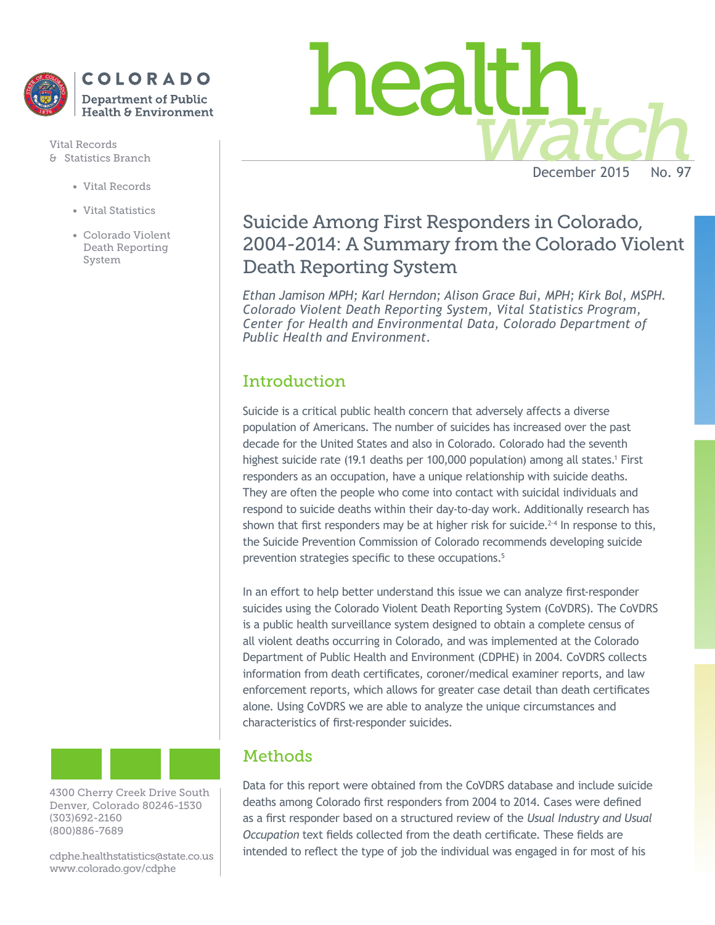

Vital Records

- Vital Records
- Vital Statistics
- Colorado Violent Death Reporting System



# Suicide Among First Responders in Colorado, 2004-2014: A Summary from the Colorado Violent Death Reporting System

*Ethan Jamison MPH; Karl Herndon; Alison Grace Bui, MPH; Kirk Bol, MSPH. Colorado Violent Death Reporting System, Vital Statistics Program, Center for Health and Environmental Data, Colorado Department of Public Health and Environment.*

# **Introduction**

Suicide is a critical public health concern that adversely affects a diverse population of Americans. The number of suicides has increased over the past decade for the United States and also in Colorado. Colorado had the seventh highest suicide rate (19.1 deaths per 100,000 population) among all states.<sup>1</sup> First responders as an occupation, have a unique relationship with suicide deaths. They are often the people who come into contact with suicidal individuals and respond to suicide deaths within their day-to-day work. Additionally research has shown that first responders may be at higher risk for suicide.<sup>2-4</sup> In response to this, the Suicide Prevention Commission of Colorado recommends developing suicide prevention strategies specific to these occupations.<sup>5</sup>

In an effort to help better understand this issue we can analyze first-responder suicides using the Colorado Violent Death Reporting System (CoVDRS). The CoVDRS is a public health surveillance system designed to obtain a complete census of all violent deaths occurring in Colorado, and was implemented at the Colorado Department of Public Health and Environment (CDPHE) in 2004. CoVDRS collects information from death certificates, coroner/medical examiner reports, and law enforcement reports, which allows for greater case detail than death certificates alone. Using CoVDRS we are able to analyze the unique circumstances and characteristics of first-responder suicides.

## Methods

Data for this report were obtained from the CoVDRS database and include suicide deaths among Colorado first responders from 2004 to 2014. Cases were defined as a first responder based on a structured review of the *Usual Industry and Usual Occupation* text fields collected from the death certificate. These fields are intended to reflect the type of job the individual was engaged in for most of his



4300 Cherry Creek Drive South Denver, Colorado 80246-1530 (303)692-2160 (800)886-7689

cdphe.healthstatistics@state.co.us www.colorado.gov/cdphe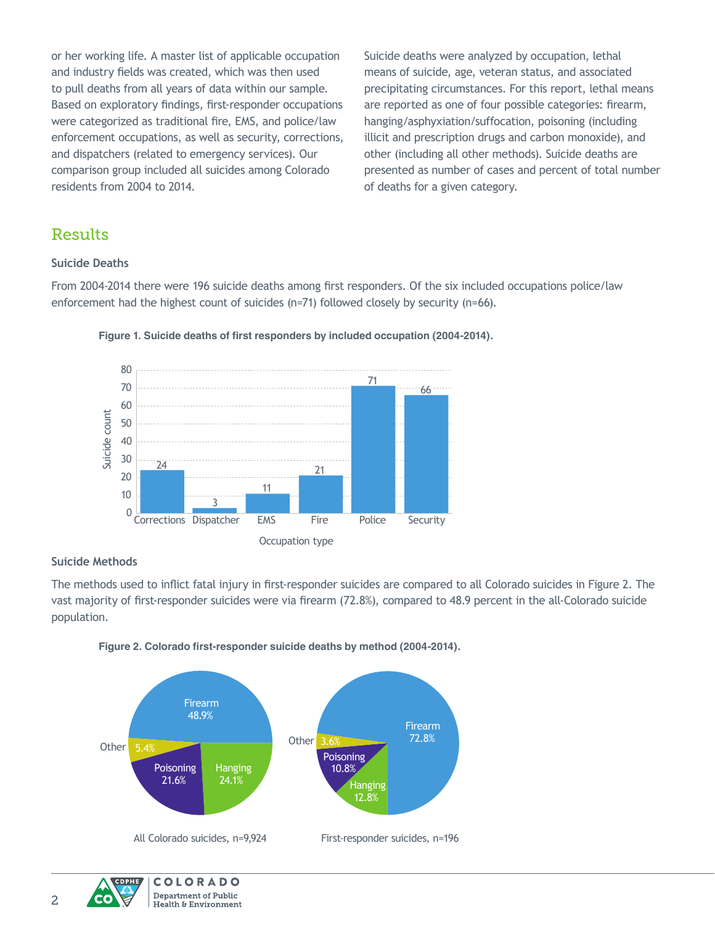or her working life. A master list of applicable occupation and industry fields was created, which was then used to pull deaths from all years of data within our sample. Based on exploratory findings, first-responder occupations were categorized as traditional fire, EMS, and police/law enforcement occupations, as well as security, corrections, and dispatchers (related to emergency services). Our comparison group included all suicides among Colorado residents from 2004 to 2014.

Suicide deaths were analyzed by occupation, lethal means of suicide, age, veteran status, and associated precipitating circumstances. For this report, lethal means are reported as one of four possible categories: firearm, hanging/asphyxiation/suffocation, poisoning (including illicit and prescription drugs and carbon monoxide), and other (including all other methods). Suicide deaths are presented as number of cases and percent of total number of deaths for a given category.

### Results

### **Suicide Deaths**

From 2004-2014 there were 196 suicide deaths among first responders. Of the six included occupations police/law enforcement had the highest count of suicides (n=71) followed closely by security (n=66).





#### **Suicide Methods**

The methods used to inflict fatal injury in first-responder suicides are compared to all Colorado suicides in Figure 2. The vast majority of first-responder suicides were via firearm (72.8%), compared to 48.9 percent in the all-Colorado suicide population.





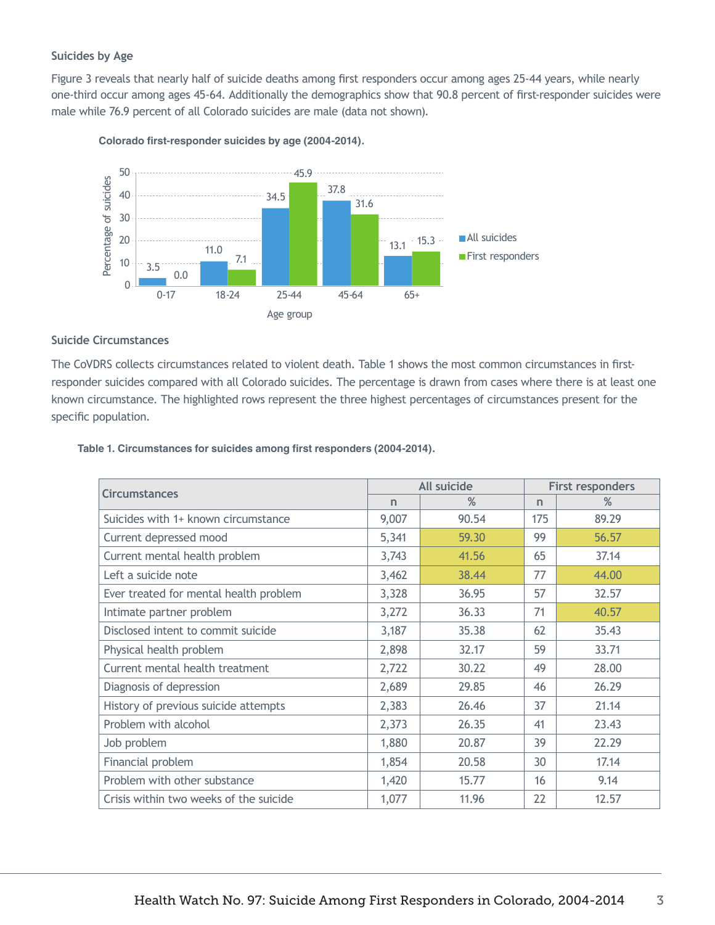### **Suicides by Age**

Figure 3 reveals that nearly half of suicide deaths among first responders occur among ages 25-44 years, while nearly one-third occur among ages 45-64. Additionally the demographics show that 90.8 percent of first-responder suicides were male while 76.9 percent of all Colorado suicides are male (data not shown).



**Colorado first-responder suicides by age (2004-2014).**

### **Suicide Circumstances**

The CoVDRS collects circumstances related to violent death. Table 1 shows the most common circumstances in firstresponder suicides compared with all Colorado suicides. The percentage is drawn from cases where there is at least one known circumstance. The highlighted rows represent the three highest percentages of circumstances present for the specific population.

|  | Table 1. Circumstances for suicides among first responders (2004-2014). |  |  |  |  |
|--|-------------------------------------------------------------------------|--|--|--|--|
|--|-------------------------------------------------------------------------|--|--|--|--|

| <b>Circumstances</b>                   | All suicide |       | <b>First responders</b> |       |
|----------------------------------------|-------------|-------|-------------------------|-------|
|                                        | n           | %     | $\mathsf{n}$            | %     |
| Suicides with 1+ known circumstance    | 9,007       | 90.54 | 175                     | 89.29 |
| Current depressed mood                 | 5,341       | 59.30 | 99                      | 56.57 |
| Current mental health problem          | 3,743       | 41.56 | 65                      | 37.14 |
| Left a suicide note                    | 3,462       | 38.44 | 77                      | 44.00 |
| Ever treated for mental health problem | 3,328       | 36.95 | 57                      | 32.57 |
| Intimate partner problem               | 3,272       | 36.33 | 71                      | 40.57 |
| Disclosed intent to commit suicide     | 3,187       | 35.38 | 62                      | 35.43 |
| Physical health problem                | 2,898       | 32.17 | 59                      | 33.71 |
| Current mental health treatment        | 2,722       | 30.22 | 49                      | 28.00 |
| Diagnosis of depression                | 2,689       | 29.85 | 46                      | 26.29 |
| History of previous suicide attempts   | 2,383       | 26.46 | 37                      | 21.14 |
| Problem with alcohol                   | 2,373       | 26.35 | 41                      | 23.43 |
| Job problem                            | 1,880       | 20.87 | 39                      | 22.29 |
| Financial problem                      | 1,854       | 20.58 | 30                      | 17.14 |
| Problem with other substance           | 1,420       | 15.77 | 16                      | 9.14  |
| Crisis within two weeks of the suicide | 1,077       | 11.96 | 22                      | 12.57 |